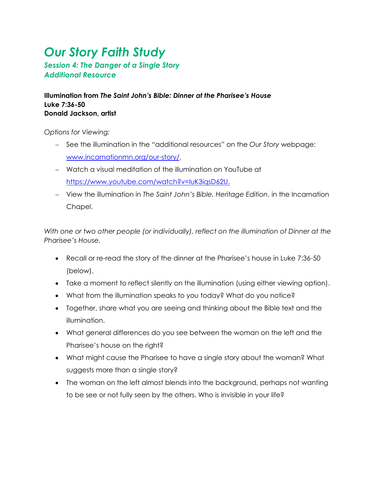## *Our Story Faith Study*

*Session 4: The Danger of a Single Story Additional Resource*

**Illumination from** *The Saint John's Bible: Dinner at the Pharisee's House* **Luke 7:36-50 Donald Jackson, artist**

*Options for Viewing:* 

- − See the illumination in the "additional resources" on the *Our Story* webpage: [www.incarnationmn.org/our-story/.](http://www.incarnationmn.org/our-story/)
- − Watch a visual meditation of the illumination on YouTube at [https://www.youtube.com/watch?v=IuK3iqsD62U.](https://www.youtube.com/watch?v=IuK3iqsD62U)
- − View the illumination in *The Saint John's Bible, Heritage Edition*, in the Incarnation Chapel.

*With one or two other people (or individually), reflect on the illumination of Dinner at the Pharisee's House.*

- Recall or re-read the story of the dinner at the Pharisee's house in Luke 7:36-50 (below).
- Take a moment to reflect silently on the illumination (using either viewing option).
- What from the illumination speaks to you today? What do you notice?
- Together, share what you are seeing and thinking about the Bible text and the illumination.
- What general differences do you see between the woman on the left and the Pharisee's house on the right?
- What might cause the Pharisee to have a single story about the woman? What suggests more than a single story?
- The woman on the left almost blends into the background, perhaps not wanting to be see or not fully seen by the others. Who is invisible in your life?